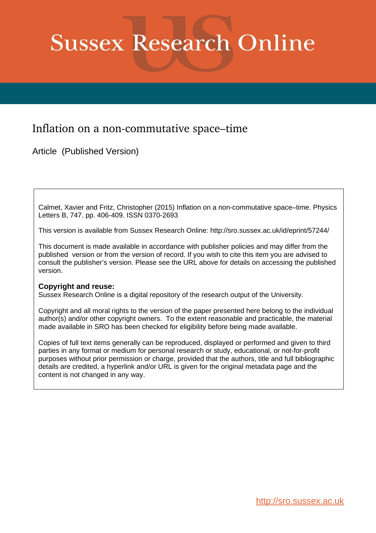# **Sussex Research Online**

## Inflation on a non-commutative space–time

Article (Published Version)

Calmet, Xavier and Fritz, Christopher (2015) Inflation on a non-commutative space–time. Physics Letters B, 747. pp. 406-409. ISSN 0370-2693

This version is available from Sussex Research Online: http://sro.sussex.ac.uk/id/eprint/57244/

This document is made available in accordance with publisher policies and may differ from the published version or from the version of record. If you wish to cite this item you are advised to consult the publisher's version. Please see the URL above for details on accessing the published version.

## **Copyright and reuse:**

Sussex Research Online is a digital repository of the research output of the University.

Copyright and all moral rights to the version of the paper presented here belong to the individual author(s) and/or other copyright owners. To the extent reasonable and practicable, the material made available in SRO has been checked for eligibility before being made available.

Copies of full text items generally can be reproduced, displayed or performed and given to third parties in any format or medium for personal research or study, educational, or not-for-profit purposes without prior permission or charge, provided that the authors, title and full bibliographic details are credited, a hyperlink and/or URL is given for the original metadata page and the content is not changed in any way.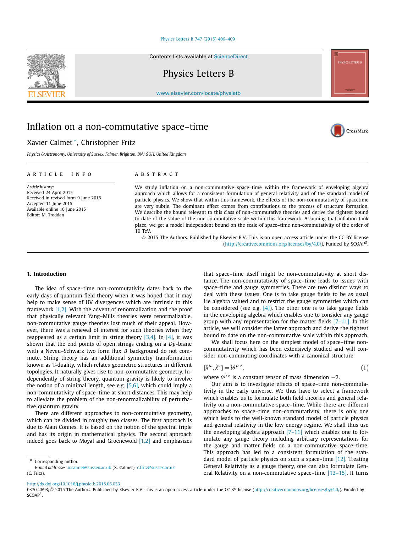#### [Physics Letters B 747 \(2015\) 406–409](http://dx.doi.org/10.1016/j.physletb.2015.06.033)

Contents lists available at [ScienceDirect](http://www.ScienceDirect.com/)

Physics Letters B

[www.elsevier.com/locate/physletb](http://www.elsevier.com/locate/physletb)

## Inflation on a non-commutative space–time

### Xavier Calmet <sup>∗</sup>, Christopher Fritz

*Physics & Astronomy, University of Sussex, Falmer, Brighton, BN1 9QH, United Kingdom*

#### A R T I C L E I N F O A B S T R A C T

*Article history:* Received 24 April 2015 Received in revised form 9 June 2015 Accepted 11 June 2015 Available online 16 June 2015 Editor: M. Trodden

We study inflation on a non-commutative space–time within the framework of enveloping algebra approach which allows for a consistent formulation of general relativity and of the standard model of particle physics. We show that within this framework, the effects of the non-commutativity of spacetime are very subtle. The dominant effect comes from contributions to the process of structure formation. We describe the bound relevant to this class of non-commutative theories and derive the tightest bound to date of the value of the non-commutative scale within this framework. Assuming that inflation took place, we get a model independent bound on the scale of space–time non-commutativity of the order of 19 TeV.

© 2015 The Authors. Published by Elsevier B.V. This is an open access article under the CC BY license [\(http://creativecommons.org/licenses/by/4.0/\)](http://creativecommons.org/licenses/by/4.0/). Funded by SCOAP3.

#### **1. Introduction**

The idea of space–time non-commutativity dates back to the early days of quantum field theory when it was hoped that it may help to make sense of UV divergences which are intrinsic to this framework [\[1,2\].](#page-4-0) With the advent of renormalization and the proof that physically relevant Yang–Mills theories were renormalizable, non-commutative gauge theories lost much of their appeal. However, there was a renewal of interest for such theories when they reappeared as a certain limit in string theory  $[3,4]$ . In  $[4]$ , it was shown that the end points of open strings ending on a *Dp*-brane with a Neveu–Schwarz two form flux *B* background do not commute. String theory has an additional symmetry transformation known as T-duality, which relates geometric structures in different topologies. It naturally gives rise to non-commutative geometry. Independently of string theory, quantum gravity is likely to involve the notion of a minimal length, see e.g.  $[5,6]$ , which could imply a non-commutativity of space–time at short distances. This may help to alleviate the problem of the non-renormalizability of perturbative quantum gravity.

There are different approaches to non-commutative geometry, which can be divided in roughly two classes. The first approach is due to Alain Connes. It is based on the notion of the spectral triple and has its origin in mathematical physics. The second approach indeed goes back to Moyal and Groenewold  $[1,2]$  and emphasizes

Corresponding author.

that space–time itself might be non-commutativity at short distance. The non-commutativity of space–time leads to issues with space–time and gauge symmetries. There are two distinct ways to deal with these issues. One is to take gauge fields to be as usual Lie algebra valued and to restrict the gauge symmetries which can be considered (see e.g.  $[4]$ ). The other one is to take gauge fields in the enveloping algebra which enables one to consider any gauge group with any representation for the matter fields  $[7-11]$ . In this article, we will consider the latter approach and derive the tightest bound to date on the non-commutative scale within this approach.

We shall focus here on the simplest model of space–time noncommutativity which has been extensively studied and will consider non-commuting coordinates with a canonical structure

$$
[\hat{x}^{\mu}, \hat{x}^{\nu}] = i\theta^{\mu\nu},\tag{1}
$$

where  $\theta^{\mu\nu}$  is a constant tensor of mass dimension  $-2$ .

Our aim is to investigate effects of space–time non-commutativity in the early universe. We thus have to select a framework which enables us to formulate both field theories and general relativity on a non-commutative space–time. While there are different approaches to space–time non-commutativity, there is only one which leads to the well-known standard model of particle physics and general relativity in the low energy regime. We shall thus use the enveloping algebra approach  $[7-11]$  which enables one to formulate any gauge theory including arbitrary representations for the gauge and matter fields on a non-commutative space–time. This approach has led to a consistent formulation of the standard model of particle physics on such a space–time  $[12]$ . Treating General Relativity as a gauge theory, one can also formulate General Relativity on a non-commutative space–time  $[13-15]$ . It turns

<http://dx.doi.org/10.1016/j.physletb.2015.06.033>





*E-mail addresses:* [x.calmet@sussex.ac.uk](mailto:x.calmet@sussex.ac.uk) (X. Calmet), [c.fritz@sussex.ac.uk](mailto:c.fritz@sussex.ac.uk) (C. Fritz).

<sup>0370-2693/© 2015</sup> The Authors. Published by Elsevier B.V. This is an open access article under the CC BY license [\(http://creativecommons.org/licenses/by/4.0/\)](http://creativecommons.org/licenses/by/4.0/). Funded by  $SCAP<sup>3</sup>$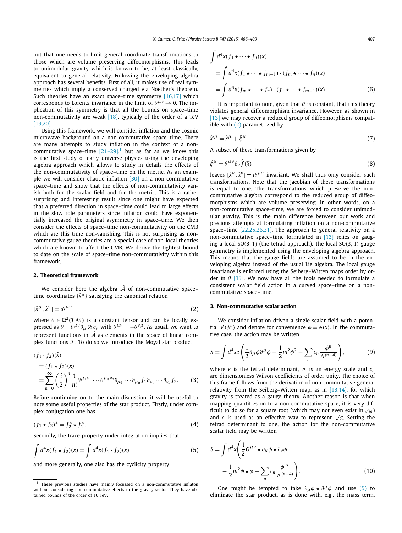<span id="page-2-0"></span>out that one needs to limit general coordinate transformations to those which are volume preserving diffeomorphisms. This leads to unimodular gravity which is known to be, at least classically, equivalent to general relativity. Following the enveloping algebra approach has several benefits. First of all, it makes use of real symmetries which imply a conserved charged via Noether's theorem. Such theories have an exact space–time symmetry [\[16,17\]](#page-4-0) which corresponds to Lorentz invariance in the limit of  $\theta^{\mu\nu} \rightarrow 0$ . The implication of this symmetry is that all the bounds on space–time non-commutativity are weak [\[18\],](#page-4-0) typically of the order of a TeV [\[19,20\].](#page-4-0)

Using this framework, we will consider inflation and the cosmic microwave background on a non-commutative space–time. There are many attempts to study inflation in the context of a noncommutative space–time  $[21-29]$ ,<sup>1</sup> but as far as we know this is the first study of early universe physics using the enveloping algebra approach which allows to study in details the effects of the non-commutativity of space–time on the metric. As an example we will consider chaotic inflation [\[30\]](#page-4-0) on a non-commutative space–time and show that the effects of non-commutativity vanish both for the scalar field and for the metric. This is a rather surprising and interesting result since one might have expected that a preferred direction in space–time could lead to large effects in the slow role parameters since inflation could have exponentially increased the original asymmetry in space–time. We then consider the effects of space–time non-commutativity on the CMB which are this time non-vanishing. This is not surprising as noncommutative gauge theories are a special case of non-local theories which are known to affect the CMB. We derive the tightest bound to date on the scale of space–time non-commutativity within this framework.

#### **2. Theoretical framework**

We consider here the algebra  $\hat{A}$  of non-commutative space– time coordinates  $\{\hat{x}^{\mu}\}\$  satisfying the canonical relation

$$
[\hat{x}^{\mu}, \hat{x}^{\nu}] = i\theta^{\mu\nu},\tag{2}
$$

where  $\theta \in \Omega^2(T{\cal M})$  is a constant tensor and can be locally expressed as  $\theta = \theta^{\mu\nu}\partial_{\mu}\otimes \partial_{\nu}$  with  $\theta^{\mu\nu} = -\theta^{\nu\mu}$ . As usual, we want to represent functions in  $\hat{A}$  as elements in the space of linear complex functions  $F$ . To do so we introduce the Moyal star product

$$
(f_1 \cdot f_2)(\hat{x})
$$
  
=  $(f_1 * f_2)(x)$   
=  $\sum_{n=0}^{\infty} \left(\frac{i}{2}\right)^n \frac{1}{n!} \theta^{\mu_1 \nu_1} \cdots \theta^{\mu_n \nu_n} \partial_{\mu_1} \cdots \partial_{\mu_n} f_1 \partial_{\nu_1} \cdots \partial_{\nu_n} f_2.$  (3)

Before continuing on to the main discussion, it will be useful to note some useful properties of the star product. Firstly, under complex conjugation one has

$$
(f_1 \star f_2)^* = f_2^* \star f_1^*.
$$
 (4)

Secondly, the trace property under integration implies that

$$
\int d^4x (f_1 * f_2)(x) = \int d^4x (f_1 \cdot f_2)(x)
$$
\n(5)

and more generally, one also has the cyclicity property

$$
\int d^4x (f_1 \star \cdots \star f_n)(x)
$$
  
= 
$$
\int d^4x (f_1 \star \cdots \star f_{m-1}) \cdot (f_m \star \cdots \star f_n)(x)
$$
  
= 
$$
\int d^4x (f_m \star \cdots \star f_n) \cdot (f_1 \star \cdots \star f_{m-1})(x).
$$
 (6)

It is important to note, given that  $\theta$  is constant, that this theory violates general diffeomorphism invariance. However, as shown in [\[13\]](#page-4-0) we may recover a reduced group of diffeomorphisms compatible with (2) parametrized by

$$
\hat{\chi}^{\prime\mu} = \hat{\chi}^{\mu} + \hat{\xi}^{\mu}.\tag{7}
$$

A subset of these transformations given by

$$
\hat{\xi}^{\mu} = \theta^{\mu\nu} \partial_{\nu} \hat{f}(\hat{x}) \tag{8}
$$

leaves  $[\hat{x}^{\mu}, \hat{x}^{\nu}] = i\theta^{\mu\nu}$  invariant. We shall thus only consider such transformations. Note that the Jacobian of these transformations is equal to one. The transformations which preserve the noncommutative algebra correspond to the reduced group of diffeomorphisms which are volume preserving. In other words, on a non-commutative space–time, we are forced to consider unimodular gravity. This is the main difference between our work and precious attempts at formulating inflation on a non-commutative space–time [\[22,25,26,31\].](#page-4-0) The approach to general relativity on a non-commutative space–time formulated in [\[13\]](#page-4-0) relies on gauging a local SO*(*3*,* 1*)* (the tetrad approach). The local SO*(*3*,* 1*)* gauge symmetry is implemented using the enveloping algebra approach. This means that the gauge fields are assumed to be in the enveloping algebra instead of the usual Lie algebra. The local gauge invariance is enforced using the Seiberg–Witten maps order by order in *θ* [\[13\].](#page-4-0) We now have all the tools needed to formulate a consistent scalar field action in a curved space–time on a noncommutative space–time.

#### **3. Non-commutative scalar action**

We consider inflation driven a single scalar field with a potential  $V(\phi^n)$  and denote for convenience  $\phi \equiv \phi(x)$ . In the commutative case, the action may be written

$$
S = \int d^4x e \left( \frac{1}{2} \partial_\mu \phi \partial^\mu \phi - \frac{1}{2} m^2 \phi^2 - \sum_n c_n \frac{\phi^n}{\Lambda^{(n-4)}} \right), \tag{9}
$$

where *e* is the tetrad determinant,  $\Lambda$  is an energy scale and  $c_n$ are dimensionless Wilson coefficients of order unity. The choice of this frame follows from the derivation of non-commutative general relativity from the Seiberg–Witten map, as in [\[13,14\],](#page-4-0) for which gravity is treated as a gauge theory. Another reason is that when mapping quantities on to a non-commutative space, it is very difficult to do so for a square root (which may not even exist in  $\mathcal{A}_{\theta}$ ) and *<sup>e</sup>* is used as an effective way to represent <sup>√</sup>*g*. Setting the tetrad determinant to one, the action for the non-commutative scalar field may be written

$$
S = \int d^4x \left( \frac{1}{2} G^{\mu\nu} \star \partial_{\mu} \phi \star \partial_{\nu} \phi \right) - \frac{1}{2} m^2 \phi \star \phi - \sum_{n} c_n \frac{\phi^{n\star}}{\Lambda^{(n-4)}} \right).
$$
 (10)

One might be tempted to take  $\partial_{\mu} \phi \star \partial^{\mu} \phi$  and use (5) to eliminate the star product, as is done with, e.g., the mass term.

 $1$  These previous studies have mainly focussed on a non-commutative inflaton without considering non-commutative effects in the gravity sector. They have obtained bounds of the order of 10 TeV.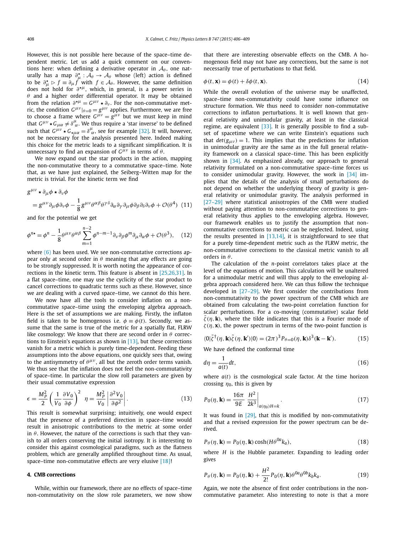However, this is not possible here because of the space–time dependent metric. Let us add a quick comment on our conventions here: when defining a derivative operator in  $A_{\theta}$ , one naturally has a map  $\partial_{\mu}^{\star}$  :  $\mathcal{A}_{\theta} \to \mathcal{A}_{\theta}$  whose (left) action is defined to be  $\partial_{\mu}^{\star} \triangleright f \equiv \partial_{\mu} f$  with  $f \in \mathcal{A}_{\theta}$ . However, the same definition does not hold for *∂μ*, which, in general, is a power series in *θ* and a higher order differential operator. It may be obtained from the relation  $\partial^{\star \mu} = G^{\mu \nu} \star \partial_{\nu}$ . For the non-commutative metric, the condition  $G^{\mu\nu}|_{\theta=0} = g^{\mu\nu}$  applies. Furthermore, we are free to choose a frame where  $G^{\mu\nu} = g^{\mu\nu}$  but we must keep in mind that  $G^{\mu\nu} \star G_{\mu\alpha} \neq \delta^{\mu}_{\alpha}$ . We thus require a 'star inverse' to be defined such that  $G^{\mu\nu} \star G_{\star\mu\alpha} = \delta^{\mu}_{\ \alpha}$ , see for example [\[32\].](#page-4-0) It will, however, not be necessary for the analysis presented here. Indeed making this choice for the metric leads to a significant simplification. It is unnecessary to find an expansion of  $G^{\mu\nu}$  in terms of  $\theta$ .

We now expand out the star products in the action, mapping the non-commutative theory to a commutative space–time. Note that, as we have just explained, the Seiberg–Witten map for the metric is trivial. For the kinetic term we find

$$
g^{\mu\nu} \star \partial_{\mu}\phi \star \partial_{\nu}\phi
$$
  
=  $g^{\mu\nu}\partial_{\mu}\phi \partial_{\nu}\phi - \frac{1}{8}g^{\mu\nu}\theta^{\alpha\beta}\theta^{\gamma\delta}\partial_{\alpha}\partial_{\gamma}\partial_{\mu}\phi \partial_{\beta}\partial_{\delta}\partial_{\nu}\phi + \mathcal{O}(\theta^4)$  (11)

and for the potential we get

$$
\phi^{n\star} = \phi^n - \frac{1}{8} \theta^{\mu\nu} \theta^{\alpha\beta} \sum_{m=1}^{n-2} \phi^{n-m-1} \partial_\nu \partial_\beta \phi^m \partial_\mu \partial_\alpha \phi + \mathcal{O}(\theta^3), \quad (12)
$$

where  $(6)$  has been used. We see non-commutative corrections appear only at second order in  $\theta$  meaning that any effects are going to be strongly suppressed. It is worth noting the appearance of corrections in the kinetic term. This feature is absent in [\[25,26,31\].](#page-4-0) In a flat space–time, one may use the cyclicity of the star product to cancel corrections to quadratic terms such as these. However, since we are dealing with a curved space–time, we cannot do this here.

We now have all the tools to consider inflation on a noncommutative space–time using the enveloping algebra approach. Here is the set of assumptions we are making. Firstly, the inflaton field is taken to be homogenous i.e.  $\phi \equiv \phi(t)$ . Secondly, we assume that the same is true of the metric for a spatially flat, FLRW like cosmology: We know that there are second order in *θ* corrections to Einstein's equations as shown in [\[13\],](#page-4-0) but these corrections vanish for a metric which is purely time-dependent. Feeding these assumptions into the above equations, one quickly sees that, owing to the antisymmetry of  $\theta^{\mu\nu}$ , all but the zeroth order terms vanish. We thus see that the inflation does not feel the non-commutativity of space–time. In particular the slow roll parameters are given by their usual commutative expression

$$
\epsilon = \frac{M_P^2}{2} \left( \frac{1}{V_0} \frac{\partial V_0}{\partial \phi} \right)^2 \eta = \frac{M_P^2}{V_0} \left| \frac{\partial^2 V_0}{\partial \phi^2} \right|.
$$
 (13)

This result is somewhat surprising; intuitively, one would expect that the presence of a preferred direction in space–time would result in anisotropic contributions to the metric at some order in  $\theta$ . However, the nature of the corrections is such that they vanish to all orders conserving the initial isotropy. It is interesting to consider this against cosmological paradigms, such as the flatness problem, which are generally amplified throughout time. As usual, space–time non-commutative effects are very elusive [\[18\]!](#page-4-0)

#### **4. CMB corrections**

While, within our framework, there are no effects of space–time non-commutativity on the slow role parameters, we now show that there are interesting observable effects on the CMB. A homogenous field may not have any corrections, but the same is not necessarily true of perturbations to that field.

$$
\phi(t, \mathbf{x}) = \phi(t) + \delta\phi(t, \mathbf{x}).\tag{14}
$$

While the overall evolution of the universe may be unaffected, space–time non-commutativity could have some influence on structure formation. We thus need to consider non-commutative corrections to inflaton perturbations. It is well known that general relativity and unimodular gravity, at least in the classical regime, are equivalent  $[33]$ . It is generally possible to find a subset of spacetime where we can write Einstein's equations such that  $det(g_{\mu\nu}) = 1$ . This implies that the predictions for inflation in unimodular gravity are the same as in the full general relativity framework on a classical space–time. This has been explicitly shown in [\[34\].](#page-4-0) As emphasized already, our approach to general relativity formulated on a non-commutative space–time forces us to consider unimodular gravity. However, the work in [\[34\]](#page-4-0) implies that the details of the analysis of small perturbations do not depend on whether the underlying theory of gravity is general relativity or unimodular gravity. The analysis performed in [\[27–29\]](#page-4-0) where statistical anisotropies of the CMB were studied without paying attention to non-commutative corrections to general relativity thus applies to the enveloping algebra. However, our framework enables us to justify the assumption that noncommutative corrections to metric can be neglected. Indeed, using the results presented in  $[13,14]$ , it is straightforward to see that for a purely time-dependent metric such as the FLRW metric, the non-commutative corrections to the classical metric vanish to all orders in *θ* .

The calculation of the *n*-point correlators takes place at the level of the equations of motion. This calculation will be unaltered for a unimodular metric and will thus apply to the enveloping algebra approach considered here. We can thus follow the technique developed in [\[27–29\].](#page-4-0) We first consider the contributions from non-commutativity to the power spectrum of the CMB which are obtained from calculating the two-point correlation function for scalar perturbations. For a co-moving (commutative) scalar field  $\bar{\zeta}(\eta, \mathbf{k})$ , where the tilde indicates that this is a Fourier mode of  $\zeta(\eta, \mathbf{x})$ , the power spectrum in terms of the two-point function is

$$
\langle 0|\tilde{\zeta}^{\dagger}(\eta, \mathbf{k})\tilde{\zeta}(\eta, \mathbf{k}')|0\rangle = (2\pi)^3 P_{\theta=0}(\eta, \mathbf{k})\delta^3(\mathbf{k} - \mathbf{k}'). \tag{15}
$$

We have defined the conformal time

$$
d\eta = \frac{1}{a(t)}dt,\t\t(16)
$$

where  $a(t)$  is the cosmological scale factor. At the time horizon crossing  $\eta_0$ , this is given by

$$
P_0(\eta, \mathbf{k}) = \frac{16\pi}{9E} \left. \frac{H^2}{2k^3} \right|_{a(\eta_0)H = k} . \tag{17}
$$

It was found in  $[29]$ , that this is modified by non-commutativity and that a revised expression for the power spectrum can be derived.

$$
P_{\theta}(\eta, \mathbf{k}) = P_0(\eta, \mathbf{k}) \cosh(H\theta^{0a}k_a), \tag{18}
$$

where *H* is the Hubble parameter. Expanding to leading order gives

$$
P_{\theta}(\eta, \mathbf{k}) = P_0(\eta, \mathbf{k}) + \frac{H^2}{2!} P_0(\eta, \mathbf{k}) \theta^{0a} \theta^{0b} k_b k_a.
$$
 (19)

Again, we note the absence of first order contributions in the noncommutative parameter. Also interesting to note is that a more